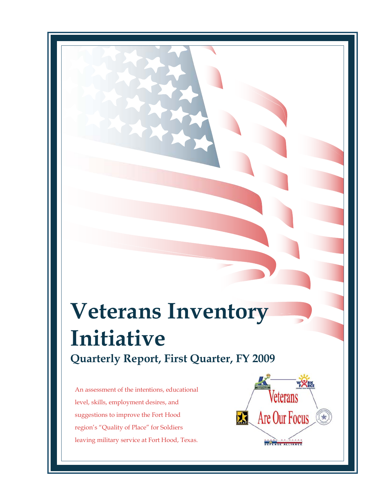# **Veterans Inventory Initiative Quarterly Report, First Quarter, FY 2009**

An assessment of the intentions, educational level, skills, employment desires, and suggestions to improve the Fort Hood region's "Quality of Place" for Soldiers leaving military service at Fort Hood, Texas.

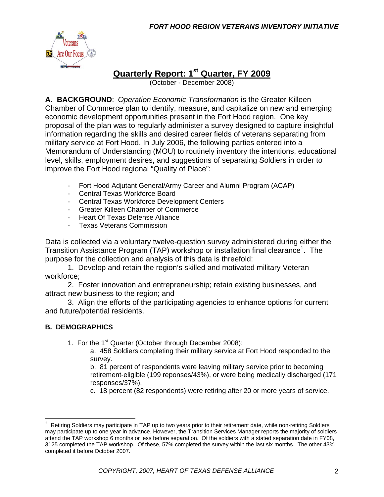

# **Quarterly Report: 1st Quarter, FY 2009**

(October - December 2008)

**A. BACKGROUND**: *Operation Economic Transformation* is the Greater Killeen Chamber of Commerce plan to identify, measure, and capitalize on new and emerging economic development opportunities present in the Fort Hood region. One key proposal of the plan was to regularly administer a survey designed to capture insightful information regarding the skills and desired career fields of veterans separating from military service at Fort Hood. In July 2006, the following parties entered into a Memorandum of Understanding (MOU) to routinely inventory the intentions, educational level, skills, employment desires, and suggestions of separating Soldiers in order to improve the Fort Hood regional "Quality of Place":

- Fort Hood Adjutant General/Army Career and Alumni Program (ACAP)
- Central Texas Workforce Board
- Central Texas Workforce Development Centers
- Greater Killeen Chamber of Commerce
- Heart Of Texas Defense Alliance
- Texas Veterans Commission

Data is collected via a voluntary twelve-question survey administered during either the Transition Assistance Program (TAP) workshop or installation final clearance<sup>1</sup>. The purpose for the collection and analysis of this data is threefold:

 1. Develop and retain the region's skilled and motivated military Veteran workforce;

 2. Foster innovation and entrepreneurship; retain existing businesses, and attract new business to the region; and

 3. Align the efforts of the participating agencies to enhance options for current and future/potential residents.

## **B. DEMOGRAPHICS**

- 1. For the 1<sup>st</sup> Quarter (October through December 2008):
	- a. 458 Soldiers completing their military service at Fort Hood responded to the survey.

 b. 81 percent of respondents were leaving military service prior to becoming retirement-eligible (199 reponses/43%), or were being medically discharged (171 responses/37%).

c. 18 percent (82 respondents) were retiring after 20 or more years of service.

 1 Retiring Soldiers may participate in TAP up to two years prior to their retirement date, while non-retiring Soldiers may participate up to one year in advance. However, the Transition Services Manager reports the majority of soldiers attend the TAP workshop 6 months or less before separation. Of the soldiers with a stated separation date in FY08, 3125 completed the TAP workshop. Of these, 57% completed the survey within the last six months. The other 43% completed it before October 2007.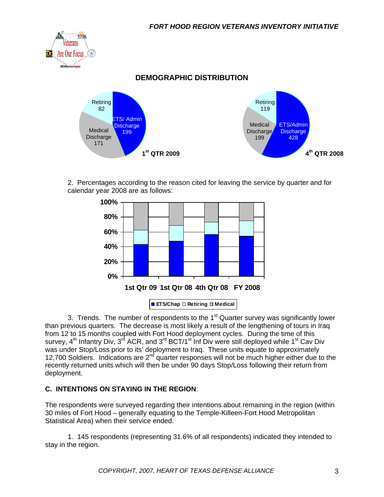

 2. Percentages according to the reason cited for leaving the service by quarter and for calendar year 2008 are as follows:



3. Trends. The number of respondents to the  $1<sup>st</sup>$  Quarter survey was significantly lower than previous quarters. The decrease is most likely a result of the lengthening of tours in Iraq from 12 to 15 months coupled with Fort Hood deployment cycles. During the time of this survey,  $4^{th}$  Infantry Div,  $3^{rd}$  ACR, and  $3^{rd}$  BCT/1<sup>st</sup> Inf Div were still deployed while 1<sup>st</sup> Cav Div was under Stop/Loss prior to its' deployment to Iraq. These units equate to approximately 12,700 Soldiers. Indications are 2<sup>nd</sup> quarter responses will not be much higher either due to the recently returned units which will then be under 90 days Stop/Loss following their return from deployment.

#### **C. INTENTIONS ON STAYING IN THE REGION**:

The respondents were surveyed regarding their intentions about remaining in the region (within 30 miles of Fort Hood – generally equating to the Temple-Killeen-Fort Hood Metropolitan Statistical Area) when their service ended.

 1. 145 respondents (representing 31.6% of all respondents) indicated they intended to stay in the region.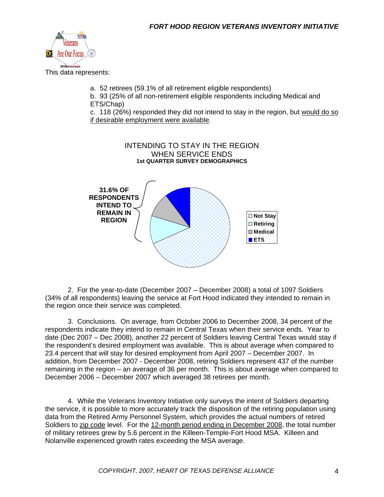

This data represents:

a. 52 retirees (59.1% of all retirement eligible respondents)

b. 93 (25% of all non-retirement eligible respondents including Medical and ETS/Chap)

c. 118 (26%) responded they did not intend to stay in the region, but would do so if desirable employment were available.



 2. For the year-to-date (December 2007 – December 2008) a total of 1097 Soldiers (34% of all respondents) leaving the service at Fort Hood indicated they intended to remain in the region once their service was completed.

 3. Conclusions. On average, from October 2006 to December 2008, 34 percent of the respondents indicate they intend to remain in Central Texas when their service ends. Year to date (Dec 2007 – Dec 2008), another 22 percent of Soldiers leaving Central Texas would stay if the respondent's desired employment was available. This is about average when compared to 23.4 percent that will stay for desired employment from April 2007 – December 2007. In addition, from December 2007 - December 2008, retiring Soldiers represent 437 of the number remaining in the region – an average of 36 per month. This is about average when compared to December 2006 – December 2007 which averaged 38 retirees per month.

 4. While the Veterans Inventory Initiative only surveys the intent of Soldiers departing the service, it is possible to more accurately track the disposition of the retiring population using data from the Retired Army Personnel System, which provides the actual numbers of retired Soldiers to zip code level. For the 12-month period ending in December 2008, the total number of military retirees grew by 5.6 percent in the Killeen-Temple-Fort Hood MSA. Killeen and Nolanville experienced growth rates exceeding the MSA average.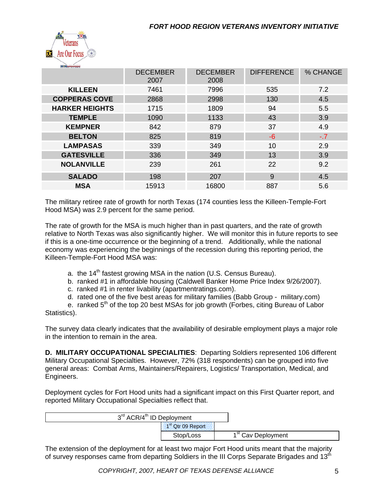

| <b>BEFENSE ALLIANCE</b> |                         |                         |                   |          |
|-------------------------|-------------------------|-------------------------|-------------------|----------|
|                         | <b>DECEMBER</b><br>2007 | <b>DECEMBER</b><br>2008 | <b>DIFFERENCE</b> | % CHANGE |
| <b>KILLEEN</b>          | 7461                    | 7996                    | 535               | 7.2      |
| <b>COPPERAS COVE</b>    | 2868                    | 2998                    | 130               | 4.5      |
| <b>HARKER HEIGHTS</b>   | 1715                    | 1809                    | 94                | 5.5      |
| <b>TEMPLE</b>           | 1090                    | 1133                    | 43                | 3.9      |
| <b>KEMPNER</b>          | 842                     | 879                     | 37                | 4.9      |
| <b>BELTON</b>           | 825                     | 819                     | $-6$              | $-.7$    |
| <b>LAMPASAS</b>         | 339                     | 349                     | 10                | 2.9      |
| <b>GATESVILLE</b>       | 336                     | 349                     | 13                | 3.9      |
| <b>NOLANVILLE</b>       | 239                     | 261                     | 22                | 9.2      |
| <b>SALADO</b>           | 198                     | 207                     | 9                 | 4.5      |
| <b>MSA</b>              | 15913                   | 16800                   | 887               | 5.6      |
|                         |                         |                         |                   |          |

The military retiree rate of growth for north Texas (174 counties less the Killeen-Temple-Fort Hood MSA) was 2.9 percent for the same period.

The rate of growth for the MSA is much higher than in past quarters, and the rate of growth relative to North Texas was also significantly higher. We will monitor this in future reports to see if this is a one-time occurrence or the beginning of a trend. Additionally, while the national economy was experiencing the beginnings of the recession during this reporting period, the Killeen-Temple-Fort Hood MSA was:

- a. the  $14<sup>th</sup>$  fastest growing MSA in the nation (U.S. Census Bureau).
- b. ranked #1 in affordable housing (Caldwell Banker Home Price Index 9/26/2007).
- c. ranked #1 in renter livability (apartmentratings.com).
- d. rated one of the five best areas for military families (Babb Group military.com)

e. ranked  $5<sup>th</sup>$  of the top 20 best MSAs for job growth (Forbes, citing Bureau of Labor Statistics).

The survey data clearly indicates that the availability of desirable employment plays a major role in the intention to remain in the area.

**D. MILITARY OCCUPATIONAL SPECIALITIES**: Departing Soldiers represented 106 different Military Occupational Specialties. However, 72% (318 respondents) can be grouped into five general areas: Combat Arms, Maintainers/Repairers, Logistics/ Transportation, Medical, and Engineers.

Deployment cycles for Fort Hood units had a significant impact on this First Quarter report, and reported Military Occupational Specialties reflect that.

| 3 <sup>rd</sup> ACR/4 <sup>th</sup> ID Deployment |                               |                                |
|---------------------------------------------------|-------------------------------|--------------------------------|
|                                                   | 1 <sup>st</sup> Qtr 09 Report |                                |
|                                                   | Stop/Loss                     | 1 <sup>st</sup> Cav Deployment |

The extension of the deployment for at least two major Fort Hood units meant that the majority of survey responses came from departing Soldiers in the III Corps Separate Brigades and 13<sup>th</sup>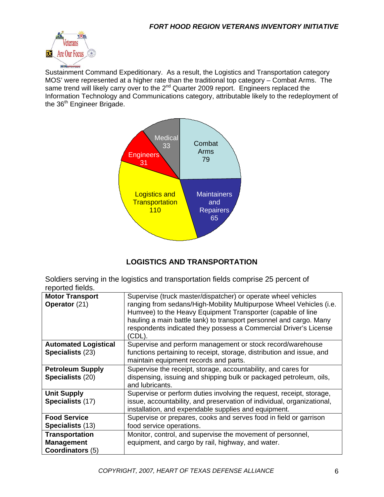

Sustainment Command Expeditionary. As a result, the Logistics and Transportation category MOS' were represented at a higher rate than the traditional top category – Combat Arms. The same trend will likely carry over to the 2<sup>nd</sup> Quarter 2009 report. Engineers replaced the Information Technology and Communications category, attributable likely to the redeployment of the 36<sup>th</sup> Engineer Brigade.



# **LOGISTICS AND TRANSPORTATION**

Soldiers serving in the logistics and transportation fields comprise 25 percent of reported fields.

| <b>Motor Transport</b><br>Operator (21)                        | Supervise (truck master/dispatcher) or operate wheel vehicles<br>ranging from sedans/High-Mobility Multipurpose Wheel Vehicles (i.e.<br>Humvee) to the Heavy Equipment Transporter (capable of line<br>hauling a main battle tank) to transport personnel and cargo. Many<br>respondents indicated they possess a Commercial Driver's License<br>(CDL). |
|----------------------------------------------------------------|---------------------------------------------------------------------------------------------------------------------------------------------------------------------------------------------------------------------------------------------------------------------------------------------------------------------------------------------------------|
| <b>Automated Logistical</b><br>Specialists (23)                | Supervise and perform management or stock record/warehouse<br>functions pertaining to receipt, storage, distribution and issue, and<br>maintain equipment records and parts.                                                                                                                                                                            |
| <b>Petroleum Supply</b><br>Specialists (20)                    | Supervise the receipt, storage, accountability, and cares for<br>dispensing, issuing and shipping bulk or packaged petroleum, oils,<br>and lubricants.                                                                                                                                                                                                  |
| <b>Unit Supply</b><br>Specialists (17)                         | Supervise or perform duties involving the request, receipt, storage,<br>issue, accountability, and preservation of individual, organizational,<br>installation, and expendable supplies and equipment.                                                                                                                                                  |
| <b>Food Service</b><br><b>Specialists (13)</b>                 | Supervise or prepares, cooks and serves food in field or garrison<br>food service operations.                                                                                                                                                                                                                                                           |
| <b>Transportation</b><br><b>Management</b><br>Coordinators (5) | Monitor, control, and supervise the movement of personnel,<br>equipment, and cargo by rail, highway, and water.                                                                                                                                                                                                                                         |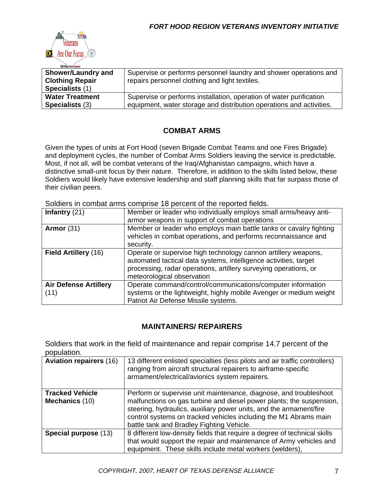

| <b>Shower/Laundry and</b><br><b>Clothing Repair</b> | Supervise or performs personnel laundry and shower operations and<br>repairs personnel clothing and light textiles. |
|-----------------------------------------------------|---------------------------------------------------------------------------------------------------------------------|
|                                                     |                                                                                                                     |
| Specialists (1)                                     |                                                                                                                     |
| <b>Water Treatment</b>                              | Supervise or performs installation, operation of water purification                                                 |
| Specialists (3)                                     | equipment, water storage and distribution operations and activities.                                                |

# **COMBAT ARMS**

Given the types of units at Fort Hood (seven Brigade Combat Teams and one Fires Brigade) and deployment cycles, the number of Combat Arms Soldiers leaving the service is predictable. Most, if not all, will be combat veterans of the Iraq/Afghanistan campaigns, which have a distinctive small-unit focus by their nature. Therefore, in addition to the skills listed below, these Soldiers would likely have extensive leadership and staff planning skills that far surpass those of their civilian peers.

Soldiers in combat arms comprise 18 percent of the reported fields.

| Infantry $(21)$                      | Member or leader who individually employs small arms/heavy anti-<br>armor weapons in support of combat operations                                                                                                                    |
|--------------------------------------|--------------------------------------------------------------------------------------------------------------------------------------------------------------------------------------------------------------------------------------|
| Armor $(31)$                         | Member or leader who employs main battle tanks or cavalry fighting<br>vehicles in combat operations, and performs reconnaissance and<br>security.                                                                                    |
| Field Artillery (16)                 | Operate or supervise high technology cannon artillery weapons,<br>automated tactical data systems, intelligence activities, target<br>processing, radar operations, artillery surveying operations, or<br>meteorological observation |
| <b>Air Defense Artillery</b><br>(11) | Operate command/control/communications/computer information<br>systems or the lightweight, highly mobile Avenger or medium weight<br>Patriot Air Defense Missile systems.                                                            |

## **MAINTAINERS/ REPAIRERS**

Soldiers that work in the field of maintenance and repair comprise 14.7 percent of the population.

| <b>Aviation repairers (16)</b>                  | 13 different enlisted specialties (less pilots and air traffic controllers)<br>ranging from aircraft structural repairers to airframe-specific<br>armament/electrical/avionics system repairers.                                                                                                                                 |
|-------------------------------------------------|----------------------------------------------------------------------------------------------------------------------------------------------------------------------------------------------------------------------------------------------------------------------------------------------------------------------------------|
| <b>Tracked Vehicle</b><br><b>Mechanics (10)</b> | Perform or supervise unit maintenance, diagnose, and troubleshoot<br>malfunctions on gas turbine and diesel power plants; the suspension,<br>steering, hydraulics, auxiliary power units, and the armament/fire<br>control systems on tracked vehicles including the M1 Abrams main<br>battle tank and Bradley Fighting Vehicle. |
| Special purpose (13)                            | 8 different low-density fields that require a degree of technical skills<br>that would support the repair and maintenance of Army vehicles and<br>equipment. These skills include metal workers (welders),                                                                                                                       |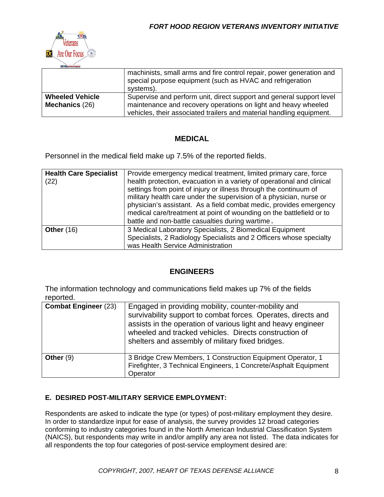

|                                          | machinists, small arms and fire control repair, power generation and<br>special purpose equipment (such as HVAC and refrigeration<br>systems).                                                                 |
|------------------------------------------|----------------------------------------------------------------------------------------------------------------------------------------------------------------------------------------------------------------|
| <b>Wheeled Vehicle</b><br>Mechanics (26) | Supervise and perform unit, direct support and general support level<br>maintenance and recovery operations on light and heavy wheeled<br>vehicles, their associated trailers and material handling equipment. |

#### **MEDICAL**

Personnel in the medical field make up 7.5% of the reported fields.

| <b>Health Care Specialist</b><br>(22) | Provide emergency medical treatment, limited primary care, force<br>health protection, evacuation in a variety of operational and clinical<br>settings from point of injury or illness through the continuum of<br>military health care under the supervision of a physician, nurse or<br>physician's assistant. As a field combat medic, provides emergency<br>medical care/treatment at point of wounding on the battlefield or to<br>battle and non-battle casualties during wartime. |
|---------------------------------------|------------------------------------------------------------------------------------------------------------------------------------------------------------------------------------------------------------------------------------------------------------------------------------------------------------------------------------------------------------------------------------------------------------------------------------------------------------------------------------------|
| <b>Other (16)</b>                     | 3 Medical Laboratory Specialists, 2 Biomedical Equipment<br>Specialists, 2 Radiology Specialists and 2 Officers whose specialty<br>was Health Service Administration                                                                                                                                                                                                                                                                                                                     |

## **ENGINEERS**

The information technology and communications field makes up 7% of the fields reported.

| <b>Combat Engineer (23)</b> | Engaged in providing mobility, counter-mobility and<br>survivability support to combat forces. Operates, directs and<br>assists in the operation of various light and heavy engineer<br>wheeled and tracked vehicles. Directs construction of<br>shelters and assembly of military fixed bridges. |
|-----------------------------|---------------------------------------------------------------------------------------------------------------------------------------------------------------------------------------------------------------------------------------------------------------------------------------------------|
| Other $(9)$                 | 3 Bridge Crew Members, 1 Construction Equipment Operator, 1<br>Firefighter, 3 Technical Engineers, 1 Concrete/Asphalt Equipment<br>Operator                                                                                                                                                       |

#### **E. DESIRED POST-MILITARY SERVICE EMPLOYMENT:**

Respondents are asked to indicate the type (or types) of post-military employment they desire. In order to standardize input for ease of analysis, the survey provides 12 broad categories conforming to industry categories found in the North American Industrial Classification System (NAICS), but respondents may write in and/or amplify any area not listed. The data indicates for all respondents the top four categories of post-service employment desired are: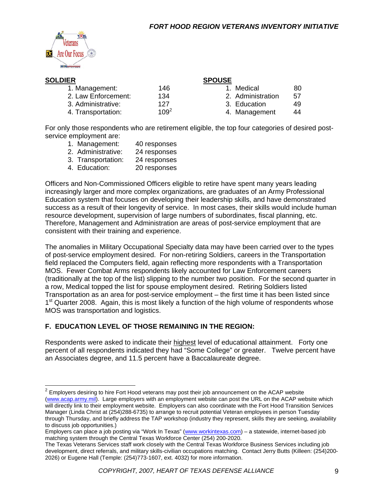

|         | <b>SPOUSE</b>     |     |
|---------|-------------------|-----|
| 146     | Medical           | 80  |
| 134     | 2. Administration | .57 |
| 127     | 3. Education      | 49  |
| $109^2$ | 4. Management     | 44  |
|         |                   |     |

For only those respondents who are retirement eligible, the top four categories of desired postservice employment are:

- 1. Management: 40 responses
- 2. Administrative: 24 responses
- 3. Transportation: 24 responses
- 4. Education: 20 responses

Officers and Non-Commissioned Officers eligible to retire have spent many years leading increasingly larger and more complex organizations, are graduates of an Army Professional Education system that focuses on developing their leadership skills, and have demonstrated success as a result of their longevity of service. In most cases, their skills would include human resource development, supervision of large numbers of subordinates, fiscal planning, etc. Therefore, Management and Administration are areas of post-service employment that are consistent with their training and experience.

The anomalies in Military Occupational Specialty data may have been carried over to the types of post-service employment desired. For non-retiring Soldiers, careers in the Transportation field replaced the Computers field, again reflecting more respondents with a Transportation MOS. Fewer Combat Arms respondents likely accounted for Law Enforcement careers (traditionally at the top of the list) slipping to the number two position. For the second quarter in a row, Medical topped the list for spouse employment desired. Retiring Soldiers listed Transportation as an area for post-service employment – the first time it has been listed since  $1<sup>st</sup>$  Quarter 2008. Again, this is most likely a function of the high volume of respondents whose MOS was transportation and logistics.

#### **F. EDUCATION LEVEL OF THOSE REMAINING IN THE REGION:**

Respondents were asked to indicate their highest level of educational attainment. Forty one percent of all respondents indicated they had "Some College" or greater. Twelve percent have an Associates degree, and 11.5 percent have a Baccalaureate degree.

 $2$  Employers desiring to hire Fort Hood veterans may post their job announcement on the ACAP website (www.acap.army.mil). Large employers with an employment website can post the URL on the ACAP website which will directly link to their employment website. Employers can also coordinate with the Fort Hood Transition Services Manager (Linda Christ at (254)288-6735) to arrange to recruit potential Veteran employees in person Tuesday through Thursday, and briefly address the TAP workshop (industry they represent, skills they are seeking, availability to discuss job opportunities.)

Employers can place a job posting via "Work In Texas" (www.workintexas.com) - a statewide, internet-based job matching system through the Central Texas Workforce Center (254) 200-2020.

The Texas Veterans Services staff work closely with the Central Texas Workforce Business Services including job development, direct referrals, and military skills-civilian occupations matching. Contact Jerry Butts (Killeen: (254)200- 2026) or Eugene Hall (Temple: (254)773-1607, ext. 4032) for more information.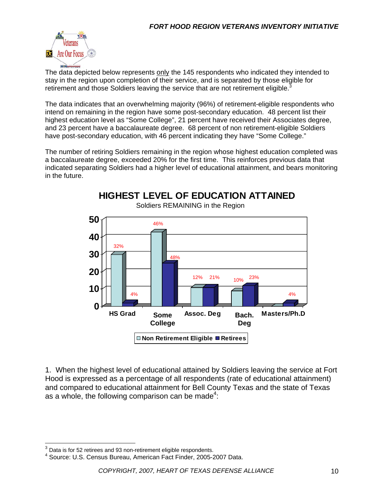

The data depicted below represents only the 145 respondents who indicated they intended to stay in the region upon completion of their service, and is separated by those eligible for retirement and those Soldiers leaving the service that are not retirement eligible.<sup>3</sup>

The data indicates that an overwhelming majority (96%) of retirement-eligible respondents who intend on remaining in the region have some post-secondary education. 48 percent list their highest education level as "Some College", 21 percent have received their Associates degree, and 23 percent have a baccalaureate degree. 68 percent of non retirement-eligible Soldiers have post-secondary education, with 46 percent indicating they have "Some College."

The number of retiring Soldiers remaining in the region whose highest education completed was a baccalaureate degree, exceeded 20% for the first time. This reinforces previous data that indicated separating Soldiers had a higher level of educational attainment, and bears monitoring in the future.



1. When the highest level of educational attained by Soldiers leaving the service at Fort Hood is expressed as a percentage of all respondents (rate of educational attainment) and compared to educational attainment for Bell County Texas and the state of Texas as a whole, the following comparison can be made<sup>4</sup>:

 $\overline{\phantom{a}}$ 

 $3$  Data is for 52 retirees and 93 non-retirement eligible respondents.

<sup>4</sup> Source: U.S. Census Bureau, American Fact Finder, 2005-2007 Data.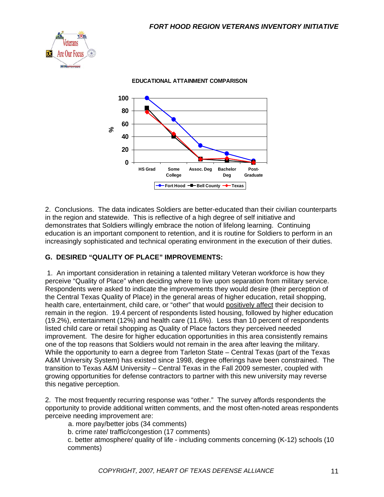

**0 20 40 60 80 100 HS Grad Some College Assoc. Deg Bachelor Deg Post-Graduate %Fort Hood -B-Bell County -+** Texas

**EDUCATIONAL ATTAINMENT COMPARISON**

2. Conclusions. The data indicates Soldiers are better-educated than their civilian counterparts in the region and statewide. This is reflective of a high degree of self initiative and demonstrates that Soldiers willingly embrace the notion of lifelong learning. Continuing education is an important component to retention, and it is routine for Soldiers to perform in an increasingly sophisticated and technical operating environment in the execution of their duties.

#### **G. DESIRED "QUALITY OF PLACE" IMPROVEMENTS:**

 1. An important consideration in retaining a talented military Veteran workforce is how they perceive "Quality of Place" when deciding where to live upon separation from military service. Respondents were asked to indicate the improvements they would desire (their perception of the Central Texas Quality of Place) in the general areas of higher education, retail shopping, health care, entertainment, child care, or "other" that would positively affect their decision to remain in the region. 19.4 percent of respondents listed housing, followed by higher education (19.2%), entertainment (12%) and health care (11.6%). Less than 10 percent of respondents listed child care or retail shopping as Quality of Place factors they perceived needed improvement. The desire for higher education opportunities in this area consistently remains one of the top reasons that Soldiers would not remain in the area after leaving the military. While the opportunity to earn a degree from Tarleton State – Central Texas (part of the Texas A&M University System) has existed since 1998, degree offerings have been constrained. The transition to Texas A&M University – Central Texas in the Fall 2009 semester, coupled with growing opportunities for defense contractors to partner with this new university may reverse this negative perception.

2. The most frequently recurring response was "other." The survey affords respondents the opportunity to provide additional written comments, and the most often-noted areas respondents perceive needing improvement are:

a. more pay/better jobs (34 comments)

b. crime rate/ traffic/congestion (17 comments)

c. better atmosphere/ quality of life - including comments concerning (K-12) schools (10 comments)